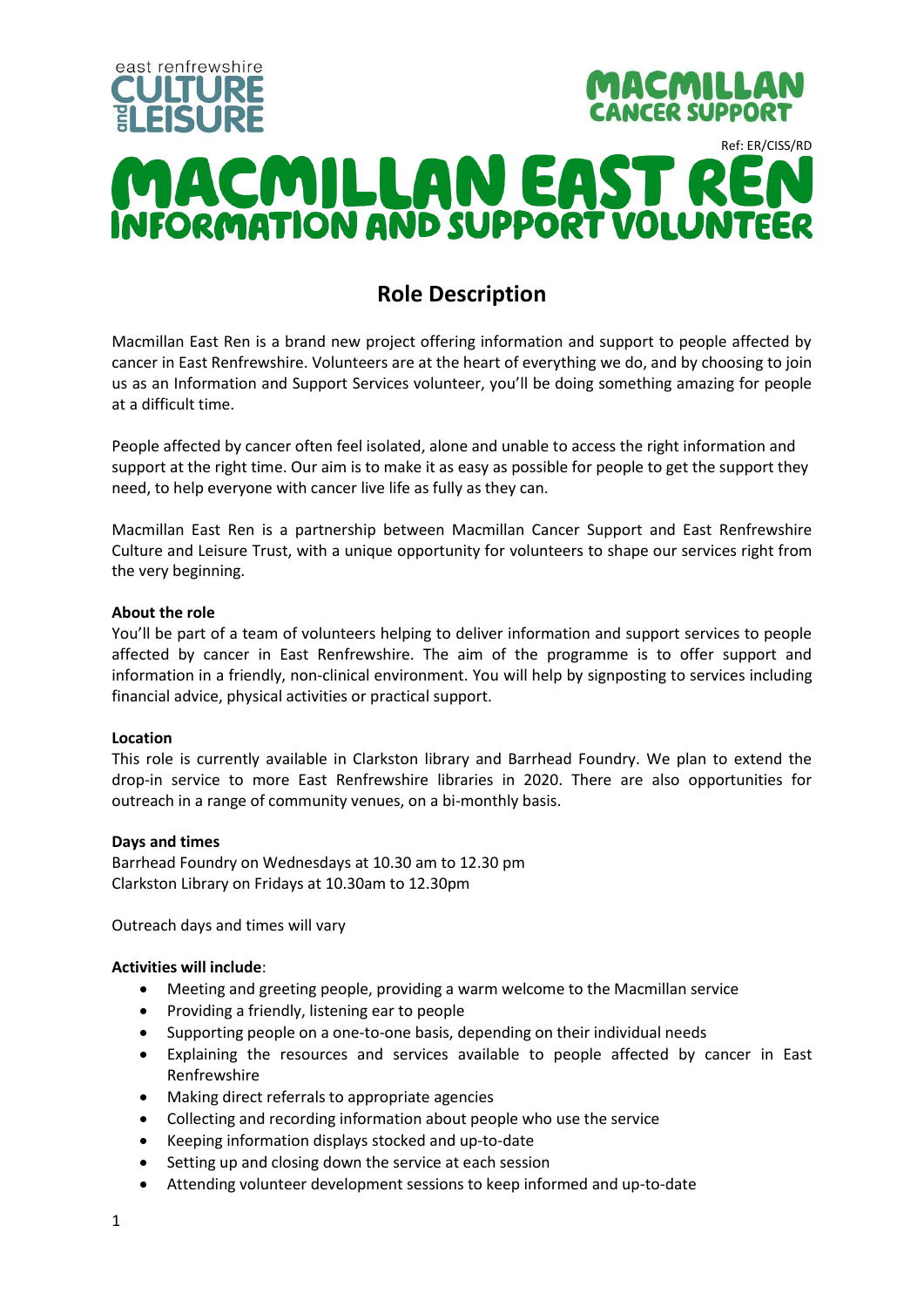

# **Role Description**

Macmillan East Ren is a brand new project offering information and support to people affected by cancer in East Renfrewshire. Volunteers are at the heart of everything we do, and by choosing to join us as an Information and Support Services volunteer, you'll be doing something amazing for people at a difficult time.

People affected by cancer often feel isolated, alone and unable to access the right information and support at the right time. Our aim is to make it as easy as possible for people to get the support they need, to help everyone with cancer live life as fully as they can.

Macmillan East Ren is a partnership between Macmillan Cancer Support and East Renfrewshire Culture and Leisure Trust, with a unique opportunity for volunteers to shape our services right from the very beginning.

# **About the role**

You'll be part of a team of volunteers helping to deliver information and support services to people affected by cancer in East Renfrewshire. The aim of the programme is to offer support and information in a friendly, non-clinical environment. You will help by signposting to services including financial advice, physical activities or practical support.

#### **Location**

This role is currently available in Clarkston library and Barrhead Foundry. We plan to extend the drop-in service to more East Renfrewshire libraries in 2020. There are also opportunities for outreach in a range of community venues, on a bi-monthly basis.

# **Days and times**

Barrhead Foundry on Wednesdays at 10.30 am to 12.30 pm Clarkston Library on Fridays at 10.30am to 12.30pm

Outreach days and times will vary

# **Activities will include**:

- Meeting and greeting people, providing a warm welcome to the Macmillan service
- Providing a friendly, listening ear to people
- Supporting people on a one-to-one basis, depending on their individual needs
- Explaining the resources and services available to people affected by cancer in East Renfrewshire
- Making direct referrals to appropriate agencies
- Collecting and recording information about people who use the service
- Keeping information displays stocked and up-to-date
- Setting up and closing down the service at each session
- Attending volunteer development sessions to keep informed and up-to-date